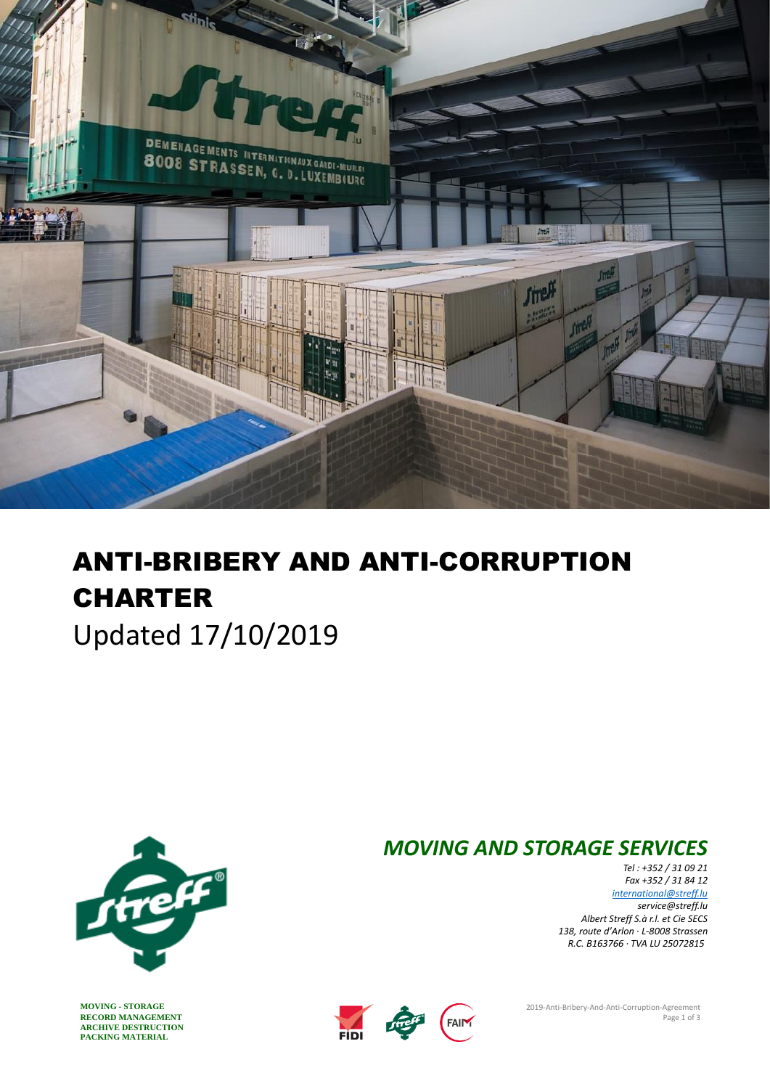

# ANTI-BRIBERY AND ANTI-CORRUPTION **CHARTER**

Updated 17/10/2019



RECORD MANAGEMENT<br> **ARCHIVE DESTRUCTION**<br> **PACKING MATERIAL ARCHIVE DESTRUCTION PACKING MATERIAL**

# *MOVING AND STORAGE SERVICES*

*Tel : +352 / 31 09 21 Fax +352 / 31 84 12 [international@streff.lu](mailto:international@streff.lu) [service@streff.lu](mailto:service@streff.lu) Albert Streff S.à r.l. et Cie SECS 138, route d'Arlon · L-8008 Strassen R.C. B163766 · TVA LU 25072815*

**MOVING - STORAGE** 2019-Anti-Bribery-And-Anti-Corruption-Agreement<br>
Page 1 of 3



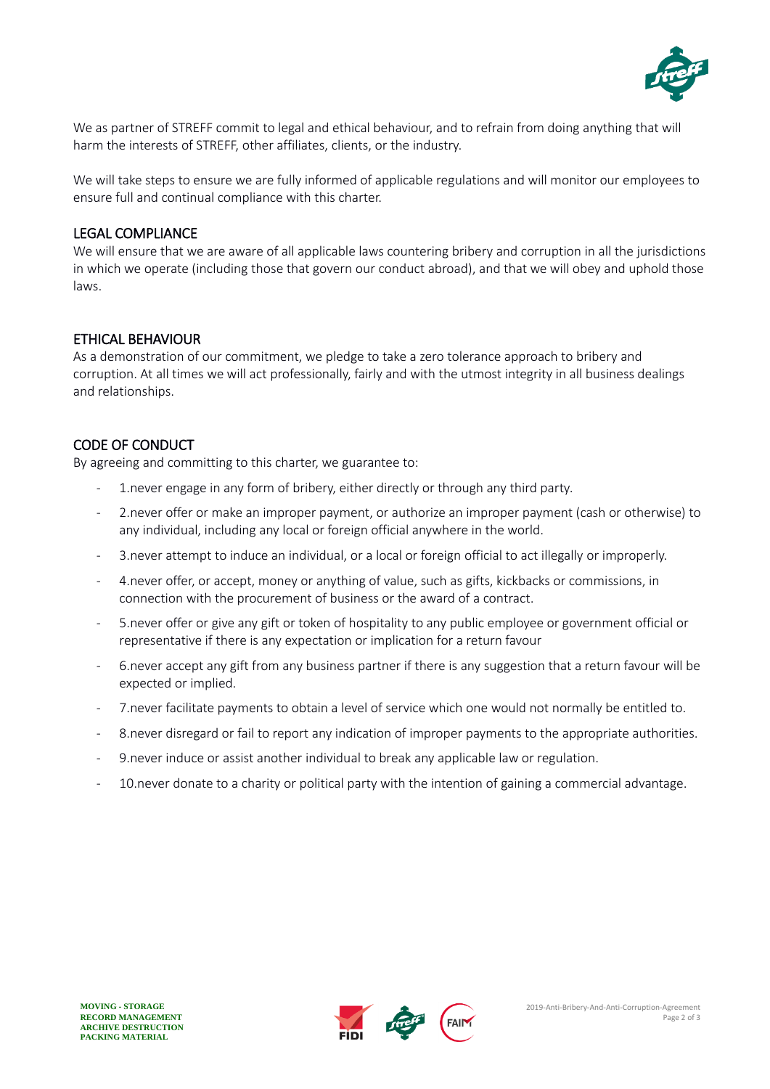

We as partner of STREFF commit to legal and ethical behaviour, and to refrain from doing anything that will harm the interests of STREFF, other affiliates, clients, or the industry.

We will take steps to ensure we are fully informed of applicable regulations and will monitor our employees to ensure full and continual compliance with this charter.

#### LEGAL COMPLIANCE

We will ensure that we are aware of all applicable laws countering bribery and corruption in all the jurisdictions in which we operate (including those that govern our conduct abroad), and that we will obey and uphold those laws.

#### ETHICAL BEHAVIOUR

As a demonstration of our commitment, we pledge to take a zero tolerance approach to bribery and corruption. At all times we will act professionally, fairly and with the utmost integrity in all business dealings and relationships.

## CODE OF CONDUCT

By agreeing and committing to this charter, we guarantee to:

- 1.never engage in any form of bribery, either directly or through any third party.
- 2.never offer or make an improper payment, or authorize an improper payment (cash or otherwise) to any individual, including any local or foreign official anywhere in the world.
- 3.never attempt to induce an individual, or a local or foreign official to act illegally or improperly.
- 4. never offer, or accept, money or anything of value, such as gifts, kickbacks or commissions, in connection with the procurement of business or the award of a contract.
- 5.never offer or give any gift or token of hospitality to any public employee or government official or representative if there is any expectation or implication for a return favour
- 6.never accept any gift from any business partner if there is any suggestion that a return favour will be expected or implied.
- 7.never facilitate payments to obtain a level of service which one would not normally be entitled to.
- 8.never disregard or fail to report any indication of improper payments to the appropriate authorities.
- 9.never induce or assist another individual to break any applicable law or regulation.
- 10.never donate to a charity or political party with the intention of gaining a commercial advantage.